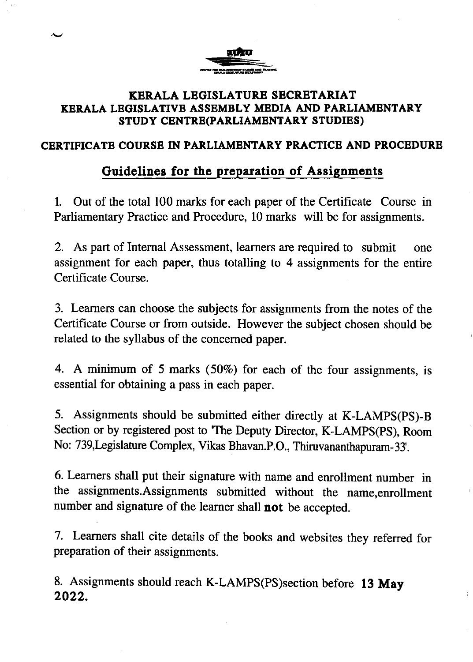

### **SUIDENTITYL HOSEMELT MEETH HIVE TIKKEN!**<br>STUDY CENTRE(PARLIAMENTARY STUDIES) KERALA LEGISLATURE SECRBTARIAT KBRALA LEGISLATIVE ASSEMBLY MBDIA AND PARLIAMBNTARY

### CERTTFICATB COURSB IN PARLIAMENTARY PRACTICB AND PROCEDURE

## Guidelines for the preparation of Assignments

1. Out of the total 100 marks for each paper of the Certificate Course in Parliamentary Practice and Procedure, 10 marks will be for assignments.

2. As part of Internal Assessment, learners are required to submit one assignment for each paper, thus totalling to 4 assignments for the entire Certificate Course.

3. Learners can choose the subjects for assignments from the notes of the Certificate Course or from outside. However the subject chosen should be related to the syllabus of the concerned paper.

4. A minimum of 5 marks (50%) for each of the four assignments, is essential for obtaining a pass in each paper.

5. Assignments should be submitted either direcrly at K-LAMPS(PS)-B Section or by registered post to 'The Deputy Director, K-LAMPS(PS), Room No: T39,Legislature Complex, Vikas Bhavan.P.O., Thiruvananthapuram- 33.

6. Learners shall put their signature with name and enrollment number in the assignments.Assignments submitted without the name,enrollment number and signature of the learner shall not be accepted.

7. Learners shall cite details of the books and websites they referred for preparation of their assignments.

8. Assignments should reach K-LAMPS(PS)section before 13 May 2022.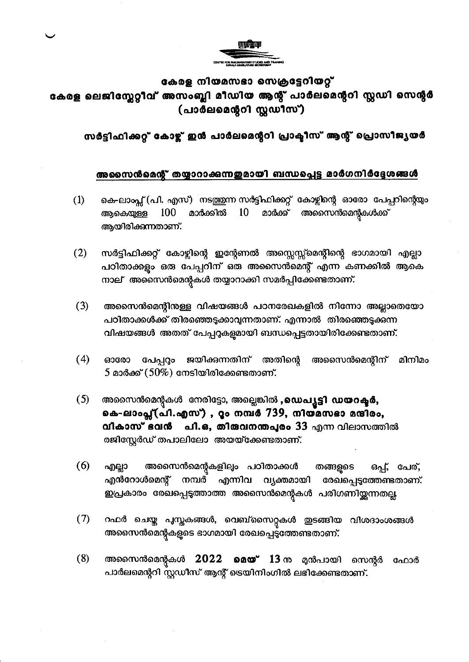

#### കേരള നിയമസഭാ സെക്രട്ടേറിയറ്റ്

## കേരള ലെജിസ്ലേറ്റീവ് അസംബ്ലി മീഡിയ ആന്റ് പാർലമെന്ററി സ്റ്റഡി സെന്റർ (പാർലമെന്ററി സ്റ്റഡീസ്)

സർട്ടിഫിക്കറ്റ് കോഴ്ച് ഇൻ പാർലമെന്ററി പ്രാക്ടീസ് ആന്റ് പ്രൊസീജ്യയർ

#### അസൈൻമെന്റ് തയ്യാറാക്കുന്നഇമായി ബന്ധപ്പെട്ട മാർഗനിർദ്ദേശങ്ങൾ

- കെ-ലാംപ്സ് (പി. എസ്) നടത്തുന്ന സർട്ടിഫിക്കറ്റ് കോഴ്ചിന്റെ ഓരോ പേപ്പറിന്റെയും  $(1)$ 100 മാർക്കിൽ 10 അസൈൻമെന്റകൾക്ക് ആകെയുള്ള മാർക്ക് ആയിരിക്കുന്നതാണ്.
- സർട്ടിഫിക്കറ്റ് കോഴ്ലിന്റെ ഇന്റേണൽ അസ്സെസ്സ്മെന്റിന്റെ ഭാഗമായി എല്ലാ  $(2)$ പഠിതാക്കളും ഒരു പേപ്പറിന് ഒരു അസൈൻമെന്റ് എന്ന കണക്കിൽ ആകെ നാല് അസൈൻമെന്റുകൾ തയ്യാറാക്കി സമർപ്പിക്കേണ്ടതാണ്.
- $(3)$ അസൈൻമെന്റിനുള്ള വിഷയങ്ങൾ പഠനരേഖകളിൽ നിന്നോ അല്ലാതെയോ പഠിതാക്കൾക്ക് തിരഞ്ഞെടുക്കാവുന്നതാണ്. എന്നാൽ തിരഞ്ഞെടുക്കുന്ന വിഷയങ്ങൾ അതത് പേപ്പറുകളുമായി ബന്ധപ്പെട്ടതായിരിക്കേണ്ടതാണ്.
- $(4)$ ഓരോ പേപ്പറ്റം ജയിക്കുന്നതിന് അതിന്റെ അസൈൻമെന്റിന് മിനിമം  $5$  മാർക്ക്  $(50\%)$  നേടിയിരിക്കേണ്ടതാണ്.
- $(5)$ അസൈൻമെന്റുകൾ നേരിട്ടോ, അല്ലെങ്കിൽ ,ഡെപ്യൂട്ടി ഡയറക്ടർ, കെ-ലാംപ്ല്(പി.എസ്) , റ്റം നമ്പർ 739, നിയമസഭാ മന്ദിരം, വികാസ് ഭവൻ പി.ഒ, തിരുവനന്തപുരം 33 എന്ന വിലാസത്തിൽ രജിസ്റ്റേർഡ് തപാലിലോ അയയ്ക്കേണ്ടതാണ്.
- $(6)$ അസൈൻമെന്റകളിലും പഠിതാക്കൾ എല്ലാ തങ്ങളുടെ ഒപ്പ്, പേര്, എൻറോൾമെന്റ് നമ്പർ എന്നിവ വ്യക്തമായി രേഖപ്പെടുത്തേണ്ടതാണ്. ഇപ്രകാരം രേഖപ്പെടുത്താത്ത അസൈൻമെന്റകൾ പരിഗണിയ്ക്കുന്നതല്ല
- $(7)$ റഫർ ചെയ്ത പുസ്തകങ്ങൾ, വെബ്സൈറ്റുകൾ ഇടങ്ങിയ വിശദാംശങ്ങൾ അസൈൻമെന്റകളുടെ ഭാഗമായി രേഖപ്പെട്ടത്തേണ്ടതാണ്.
- അസൈൻമെന്റകൾ 2022 മെയ് 13 ന മുൻപായി സെന്റർ  $(8)$ ഫോർ പാർലമെന്ററി സ്റ്റഡീസ് ആന്റ് ട്രെയിനിംഗിൽ ലഭിക്കേണ്ടതാണ്.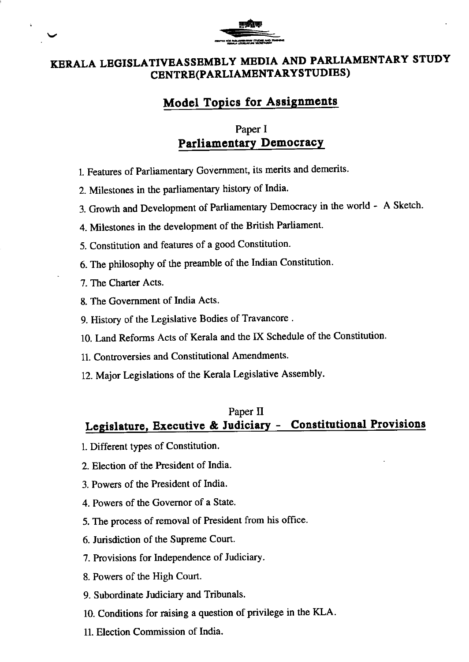

## KERALA LBGISLATIVEASSBMBLY MEDIA AND PARLIAMENTARY STUDY CENTRB(PARLIAMENTARYSTUDIES)

## **Model Topics for Assignments**

## Paper I Parliamentary Democracy

- 1. Features of Parliamentary Government, its merits and demerits.
- 2. Milestones in the parliamentary history of India'
- 3. Growth and Development of Parliamentary Democracy in the world A Sketch.
- 4. Milestones in the development of the British Parliament.
- 5. Constitution and features of a good Constitution.
- 6. The philosophy of the preamble of the Indian Constitution'
- 7. The Charter Acts.
- 8. The Government of India Acts.
- 9. History of the Legislative Bodies of Travancore .
- 10. Land Reforms Acts of Kerala and the IX Schedule of the Constitution.
- 11. Controversies and Constitutional Amendments.
- 12. Major Legislations of the Kerala Legislative Assembly.

### Paper II Legislature, Executive & Judiciary - Constitutional Provisions

- l. Dfferent types of Constitution.
- 2. Election of the President of India.
- 3. Powers of the President of India.
- 4. Powers of the Govemor of a State.
- 5. The process of removal of President from his office.
- 6. Jurisdiction of the Supreme Court.
- 7. Provisions for lndependence of Judiciary.
- 8. Powers of the High Court.
- 9. Subordinate ludiciary and Tribunals.
- 10. Conditions for raising a question of privilege in the KLA-
- 11. Election Commission of India.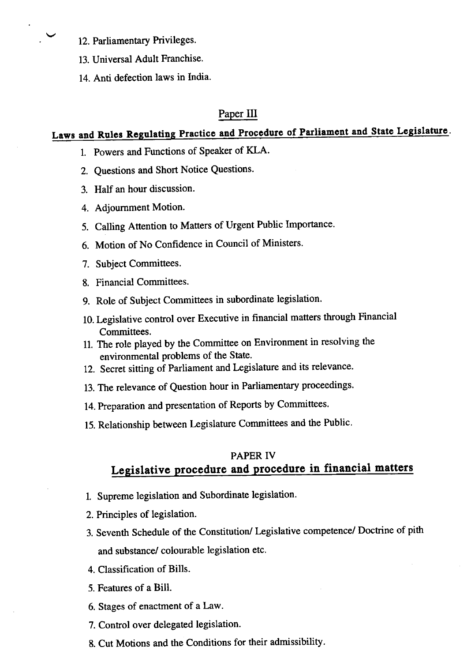12. Parliamentary Privileges.

- 13. Universal Adult Franchise.
- 14. Anti defection laws in India.

#### Paper III

# Laws and Rules Regulating Practice and Procedure of Parliament and State Legislature.

- l. Powers and Functions of Speaker of KLA.
- 2. Questions and Short Notice Questions.
- 3. Half an hour discussion.
- 4. Adjoumment Motion.
- 5. Calling Attention to Matters of Urgent Public Importance.
- 6. Motion of No Confidence in Council of Ministers'
- 7. Subject Committees.
- 8. Financial Committees.
- 9. Role of Subject Committees in subordinate legislation.
- 10. Legislative control over Executive in financial matters through Financial Committees.
- 11. The role played by the Committee on Environment in resolving the environmental problems of the State.
- 12. Secret sitting of Parliament and Legislature and its relevance.
- 13. The relevance of Question hour in Parliamentary proceedings.
- 14. Preparation and presentation of Reports by Committees.
- 15. Relationship between Legislature Committees and the Public.

### PAPER IV Legislative procedure and procedure in financial matters

- l. Supreme legislation and Subordinate legislation.
- 2. Principles of legislation.
- 3. Seventh Schedule of the Constitution/ Legislative competence/ Doctrine of pith and substance/ colourable legislation etc.
- 4. Classification of Bills.
- 5. Features of a Bill.
- 6. Stages of enactment of a Law.
- 7. Control over delegated legislation.
- 8. Cut Motions and the Conditions for their admissibility.